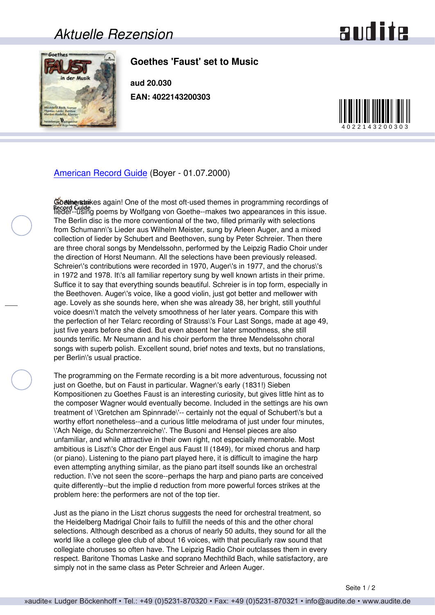## *Aktuelle Rezension*

## **audite**



## **Goethes 'Faust' set to Music**

**aud 20.030 EAN: 4022143200303**



[American Record Guide](http://www.americanrecordguide.com) (Boyer - 01.07.2000)

Goetherstrikes again! One of the most oft-used themes in programming recordings of Record Guidence Fighting by Wolfgang von Goethe--makes two appearances in this issue. The Berlin disc is the more conventional of the two, filled primarily with selections from Schumann\'s Lieder aus Wilhelm Meister, sung by Arleen Auger, and a mixed collection of lieder by Schubert and Beethoven, sung by Peter Schreier. Then there are three choral songs by Mendelssohn, performed by the Leipzig Radio Choir under the direction of Horst Neumann. All the selections have been previously released. Schreier\'s contributions were recorded in 1970, Auger\'s in 1977, and the chorus\'s in 1972 and 1978. It\'s all familiar repertory sung by well known artists in their prime. Suffice it to say that everything sounds beautiful. Schreier is in top form, especially in the Beethoven. Auger\'s voice, like a good violin, just got better and mellower with age. Lovely as she sounds here, when she was already 38, her bright, still youthful voice doesn\'t match the velvety smoothness of her later years. Compare this with the perfection of her Telarc recording of Strauss\'s Four Last Songs, made at age 49, just five years before she died. But even absent her later smoothness, she still sounds terrific. Mr Neumann and his choir perform the three Mendelssohn choral songs with superb polish. Excellent sound, brief notes and texts, but no translations, per Berlin\'s usual practice.

The programming on the Fermate recording is a bit more adventurous, focussing not just on Goethe, but on Faust in particular. Wagner\'s early (1831!) Sieben Kompositionen zu Goethes Faust is an interesting curiosity, but gives little hint as to the composer Wagner would eventually become. Included in the settings are his own treatment of \'Gretchen am Spinnrade\'-- certainly not the equal of Schubert\'s but a worthy effort nonetheless--and a curious little melodrama of just under four minutes, \'Ach Neige, du Schmerzenreiche\'. The Busoni and Hensel pieces are also unfamiliar, and while attractive in their own right, not especially memorable. Most ambitious is Liszt\'s Chor der Engel aus Faust II (1849), for mixed chorus and harp (or piano). Listening to the piano part played here, it is difficult to imagine the harp even attempting anything similar, as the piano part itself sounds like an orchestral reduction. I\'ve not seen the score--perhaps the harp and piano parts are conceived quite differently--but the implie d reduction from more powerful forces strikes at the problem here: the performers are not of the top tier.

Just as the piano in the Liszt chorus suggests the need for orchestral treatment, so the Heidelberg Madrigal Choir fails to fulfill the needs of this and the other choral selections. Although described as a chorus of nearly 50 adults, they sound for all the world like a college glee club of about 16 voices, with that peculiarly raw sound that collegiate choruses so often have. The Leipzig Radio Choir outclasses them in every respect. Baritone Thomas Laske and soprano Mechthild Bach, while satisfactory, are simply not in the same class as Peter Schreier and Arleen Auger.